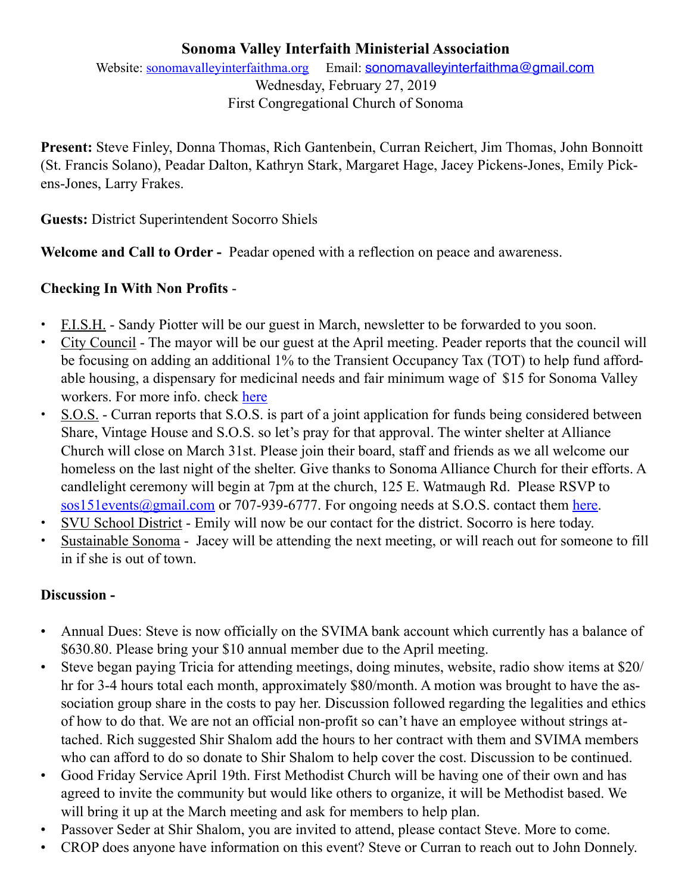# **Sonoma Valley Interfaith Ministerial Association**

Website: [sonomavalleyinterfaithma.org](http://sonomavalleyinterfaithma.org) Email: [sonomavalleyinterfaithma@gmail.com](mailto:sonomavalleyinterfaithma@gmail.com) Wednesday, February 27, 2019 First Congregational Church of Sonoma

**Present:** Steve Finley, Donna Thomas, Rich Gantenbein, Curran Reichert, Jim Thomas, John Bonnoitt (St. Francis Solano), Peadar Dalton, Kathryn Stark, Margaret Hage, Jacey Pickens-Jones, Emily Pickens-Jones, Larry Frakes.

**Guests:** District Superintendent Socorro Shiels

**Welcome and Call to Order -** Peadar opened with a reflection on peace and awareness.

### **Checking In With Non Profits** -

- **•** F.I.S.H. Sandy Piotter will be our guest in March, newsletter to be forwarded to you soon.
- **•** City Council The mayor will be our guest at the April meeting. Peader reports that the council will be focusing on adding an additional 1% to the Transient Occupancy Tax (TOT) to help fund affordable housing, a dispensary for medicinal needs and fair minimum wage of \$15 for Sonoma Valley workers. For more info. check [here](https://www.sonomacity.org/departments/city-council/)
- **•** S.O.S. Curran reports that S.O.S. is part of a joint application for funds being considered between Share, Vintage House and S.O.S. so let's pray for that approval. The winter shelter at Alliance Church will close on March 31st. Please join their board, staff and friends as we all welcome our homeless on the last night of the shelter. Give thanks to Sonoma Alliance Church for their efforts. A candlelight ceremony will begin at 7pm at the church, 125 E. Watmaugh Rd. Please RSVP to [sos151events@gmail.com](mailto:sos151events@gmail.com) or 707-939-6777. For ongoing needs at S.O.S. contact them [here.](http://www.sonomaovernightsupport.org)
- **•** SVU School District Emily will now be our contact for the district. Socorro is here today.
- **•** Sustainable Sonoma Jacey will be attending the next meeting, or will reach out for someone to fill in if she is out of town.

## **Discussion -**

- Annual Dues: Steve is now officially on the SVIMA bank account which currently has a balance of \$630.80. Please bring your \$10 annual member due to the April meeting.
- Steve began paying Tricia for attending meetings, doing minutes, website, radio show items at \$20/ hr for 3-4 hours total each month, approximately \$80/month. A motion was brought to have the association group share in the costs to pay her. Discussion followed regarding the legalities and ethics of how to do that. We are not an official non-profit so can't have an employee without strings attached. Rich suggested Shir Shalom add the hours to her contract with them and SVIMA members who can afford to do so donate to Shir Shalom to help cover the cost. Discussion to be continued.
- Good Friday Service April 19th. First Methodist Church will be having one of their own and has agreed to invite the community but would like others to organize, it will be Methodist based. We will bring it up at the March meeting and ask for members to help plan.
- Passover Seder at Shir Shalom, you are invited to attend, please contact Steve. More to come.
- CROP does anyone have information on this event? Steve or Curran to reach out to John Donnely.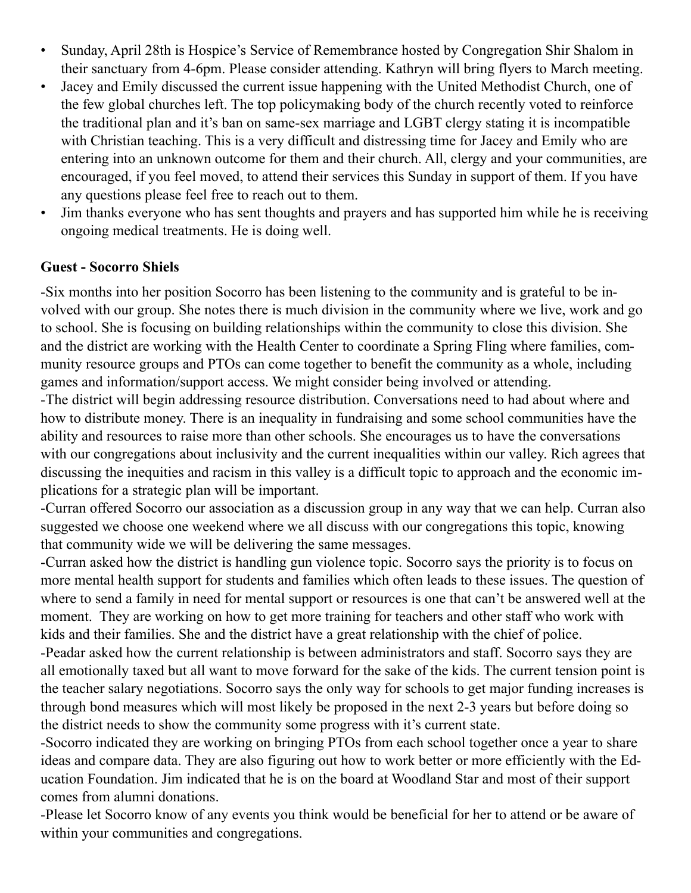- Sunday, April 28th is Hospice's Service of Remembrance hosted by Congregation Shir Shalom in their sanctuary from 4-6pm. Please consider attending. Kathryn will bring flyers to March meeting.
- Jacey and Emily discussed the current issue happening with the United Methodist Church, one of the few global churches left. The top policymaking body of the church recently voted to reinforce the traditional plan and it's ban on same-sex marriage and LGBT clergy stating it is incompatible with Christian teaching. This is a very difficult and distressing time for Jacey and Emily who are entering into an unknown outcome for them and their church. All, clergy and your communities, are encouraged, if you feel moved, to attend their services this Sunday in support of them. If you have any questions please feel free to reach out to them.
- Jim thanks everyone who has sent thoughts and prayers and has supported him while he is receiving ongoing medical treatments. He is doing well.

#### **Guest - Socorro Shiels**

-Six months into her position Socorro has been listening to the community and is grateful to be involved with our group. She notes there is much division in the community where we live, work and go to school. She is focusing on building relationships within the community to close this division. She and the district are working with the Health Center to coordinate a Spring Fling where families, community resource groups and PTOs can come together to benefit the community as a whole, including games and information/support access. We might consider being involved or attending.

-The district will begin addressing resource distribution. Conversations need to had about where and how to distribute money. There is an inequality in fundraising and some school communities have the ability and resources to raise more than other schools. She encourages us to have the conversations with our congregations about inclusivity and the current inequalities within our valley. Rich agrees that discussing the inequities and racism in this valley is a difficult topic to approach and the economic implications for a strategic plan will be important.

-Curran offered Socorro our association as a discussion group in any way that we can help. Curran also suggested we choose one weekend where we all discuss with our congregations this topic, knowing that community wide we will be delivering the same messages.

-Curran asked how the district is handling gun violence topic. Socorro says the priority is to focus on more mental health support for students and families which often leads to these issues. The question of where to send a family in need for mental support or resources is one that can't be answered well at the moment. They are working on how to get more training for teachers and other staff who work with kids and their families. She and the district have a great relationship with the chief of police.

-Peadar asked how the current relationship is between administrators and staff. Socorro says they are all emotionally taxed but all want to move forward for the sake of the kids. The current tension point is the teacher salary negotiations. Socorro says the only way for schools to get major funding increases is through bond measures which will most likely be proposed in the next 2-3 years but before doing so the district needs to show the community some progress with it's current state.

-Socorro indicated they are working on bringing PTOs from each school together once a year to share ideas and compare data. They are also figuring out how to work better or more efficiently with the Education Foundation. Jim indicated that he is on the board at Woodland Star and most of their support comes from alumni donations.

-Please let Socorro know of any events you think would be beneficial for her to attend or be aware of within your communities and congregations.